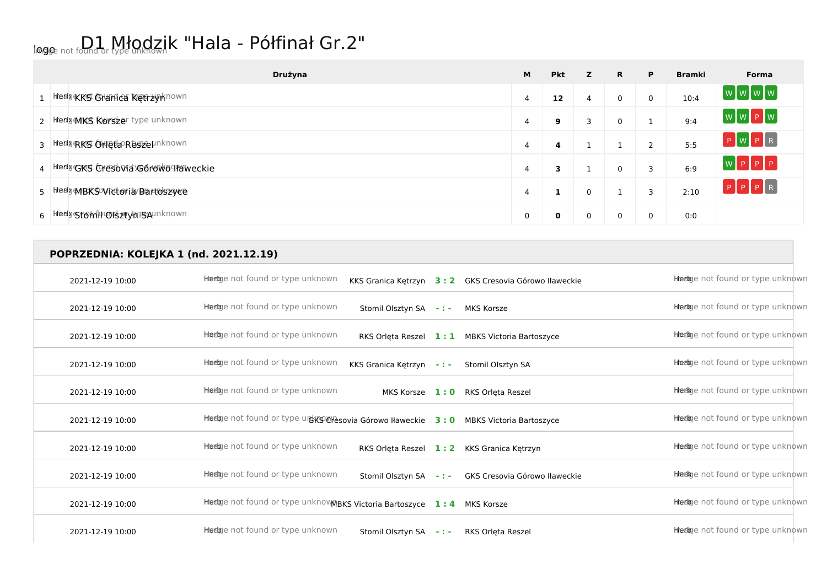## logo not found or type unknown k "Hala - Półfinał Gr.2"

| Drużyna                                | M | <b>Pkt</b> | z | R.       | P             | <b>Bramki</b> | Forma           |
|----------------------------------------|---|------------|---|----------|---------------|---------------|-----------------|
| 1 Hedpe KKS Granica Ketrzynhown        | 4 | 12         | 4 | $\Omega$ | $\Omega$      | 10:4          | [w[w[w]w]       |
| 2 Heelpenks korszer type unknown       | 4 | 9          | 3 | $\Omega$ |               | 9:4           | $[w]w$ $p$ $w$  |
| 3 Hedge KS Orleta Reszelnknown         | 4 | 4          |   |          | $\mathcal{D}$ | 5:5           | $P$ W $P$ R     |
| 4 Heely GKS Oresovia Gorowo Traweckie  | 4 |            |   | $\Omega$ | 3             | 6:9           | $W$ $P$ $P$ $P$ |
| 5 Hedp MBKS Victoria Bartoszyce        | 4 |            | 0 |          | 3             | 2:10          | $P$ $P$ $R$     |
| 6 Heelp Storift Ols 24 yin 159 unknown | 0 | 0          | 0 |          | 0             | 0:0           |                 |

## **POPRZEDNIA: KOLEJKA 1 (nd. 2021.12.19)**

| 2021-12-19 10:00 | Heebye not found or type unknown                                            | KKS Granica Ketrzyn     |     | 3 : 2 GKS Cresovia Górowo Iławeckie | Heebje not found or type unknown  |
|------------------|-----------------------------------------------------------------------------|-------------------------|-----|-------------------------------------|-----------------------------------|
| 2021-12-19 10:00 | Heebye not found or type unknown                                            | Stomil Olsztyn SA       | 计数字 | MKS Korsze                          | Heebye not found or type unknown  |
| 2021-12-19 10:00 | Heebye not found or type unknown                                            | RKS Orleta Reszel 1:1   |     | <b>MBKS Victoria Bartoszyce</b>     | Heebje not found or type unknown  |
| 2021-12-19 10:00 | Heebye not found or type unknown                                            | KKS Granica Kętrzyn -:- |     | Stomil Olsztyn SA                   | Heebje not found or type unknown  |
| 2021-12-19 10:00 | Heebye not found or type unknown                                            | MKS Korsze              | 1:0 | RKS Orleta Reszel                   | Heebye not found or type unknown  |
| 2021-12-19 10:00 | hhedge not found or type und KS Chesovia Górowo Haweckie 3:0                |                         |     | <b>MBKS Victoria Bartoszyce</b>     | Heebje not found or type unknown  |
| 2021-12-19 10:00 | Heebye not found or type unknown                                            | RKS Orleta Reszel 1:2   |     | KKS Granica Ketrzyn                 | Heebye not found or type unknown  |
| 2021-12-19 10:00 | Heebye not found or type unknown                                            | Stomil Olsztyn SA       | 计数字 | GKS Cresovia Górowo Iławeckie       | Heebje not found or type unknown  |
| 2021-12-19 10:00 | Heetoge not found or type unknow Wind Sylictoria Bartoszyce 1: 4 MKS Korsze |                         |     |                                     | Heebje not found or type unknown  |
| 2021-12-19 10:00 | Heebje not found or type unknown                                            | Stomil Olsztyn SA       | 计数字 | <b>RKS Orleta Reszel</b>            | Heeloge not found or type unknown |